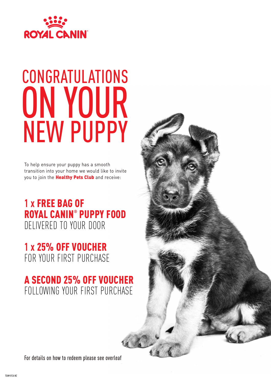

# CONGRATULATIONS ON YOUR NEW PUPPY

To help ensure your puppy has a smooth transition into your home we would like to invite you to join the **Healthy Pets Club** and receive:

**1 x** FREE BAG OF ROYAL CANIN® PUPPY FOOD DELIVERED TO YOUR DOOR

### **1 x** 25% OFF VOUCHER FOR YOUR FIRST PURCHASE

### A SECOND 25% OFF VOUCHER FOLLOWING YOUR FIRST PURCHASE

For details on how to redeem please see overleaf